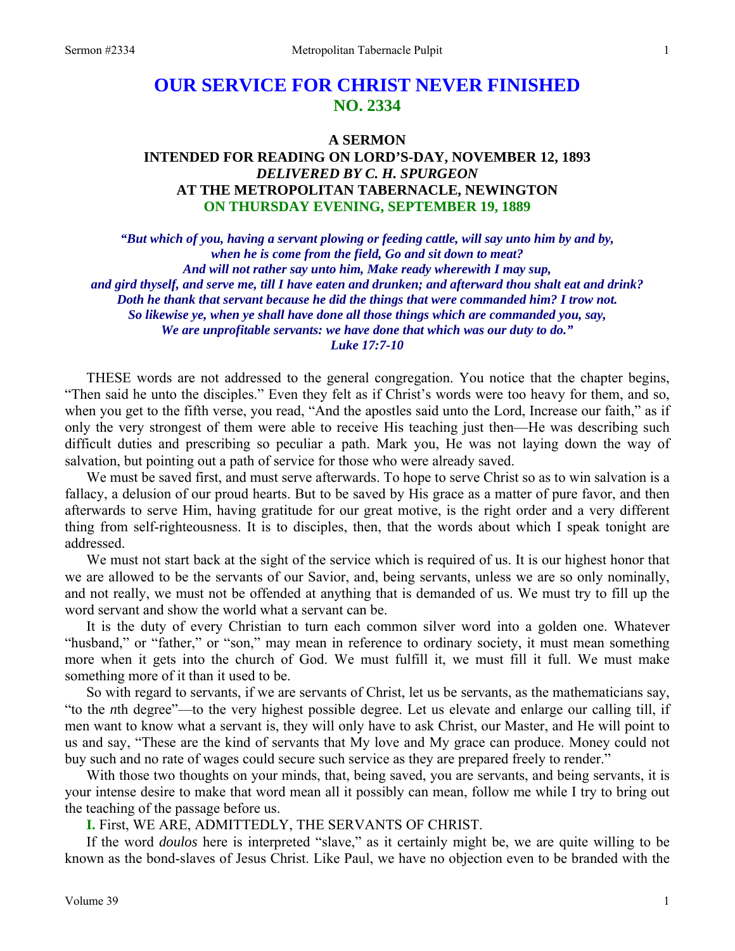# **OUR SERVICE FOR CHRIST NEVER FINISHED NO. 2334**

# **A SERMON INTENDED FOR READING ON LORD'S-DAY, NOVEMBER 12, 1893**  *DELIVERED BY C. H. SPURGEON*  **AT THE METROPOLITAN TABERNACLE, NEWINGTON ON THURSDAY EVENING, SEPTEMBER 19, 1889**

*"But which of you, having a servant plowing or feeding cattle, will say unto him by and by, when he is come from the field, Go and sit down to meat? And will not rather say unto him, Make ready wherewith I may sup, and gird thyself, and serve me, till I have eaten and drunken; and afterward thou shalt eat and drink? Doth he thank that servant because he did the things that were commanded him? I trow not. So likewise ye, when ye shall have done all those things which are commanded you, say, We are unprofitable servants: we have done that which was our duty to do." Luke 17:7-10* 

THESE words are not addressed to the general congregation. You notice that the chapter begins, "Then said he unto the disciples." Even they felt as if Christ's words were too heavy for them, and so, when you get to the fifth verse, you read, "And the apostles said unto the Lord, Increase our faith," as if only the very strongest of them were able to receive His teaching just then—He was describing such difficult duties and prescribing so peculiar a path. Mark you, He was not laying down the way of salvation, but pointing out a path of service for those who were already saved.

We must be saved first, and must serve afterwards. To hope to serve Christ so as to win salvation is a fallacy, a delusion of our proud hearts. But to be saved by His grace as a matter of pure favor, and then afterwards to serve Him, having gratitude for our great motive, is the right order and a very different thing from self-righteousness. It is to disciples, then, that the words about which I speak tonight are addressed.

We must not start back at the sight of the service which is required of us. It is our highest honor that we are allowed to be the servants of our Savior, and, being servants, unless we are so only nominally, and not really, we must not be offended at anything that is demanded of us. We must try to fill up the word servant and show the world what a servant can be.

It is the duty of every Christian to turn each common silver word into a golden one. Whatever "husband," or "father," or "son," may mean in reference to ordinary society, it must mean something more when it gets into the church of God. We must fulfill it, we must fill it full. We must make something more of it than it used to be.

So with regard to servants, if we are servants of Christ, let us be servants, as the mathematicians say, "to the *n*th degree"—to the very highest possible degree. Let us elevate and enlarge our calling till, if men want to know what a servant is, they will only have to ask Christ, our Master, and He will point to us and say, "These are the kind of servants that My love and My grace can produce. Money could not buy such and no rate of wages could secure such service as they are prepared freely to render."

With those two thoughts on your minds, that, being saved, you are servants, and being servants, it is your intense desire to make that word mean all it possibly can mean, follow me while I try to bring out the teaching of the passage before us.

**I.** First, WE ARE, ADMITTEDLY, THE SERVANTS OF CHRIST.

If the word *doulos* here is interpreted "slave," as it certainly might be, we are quite willing to be known as the bond-slaves of Jesus Christ. Like Paul, we have no objection even to be branded with the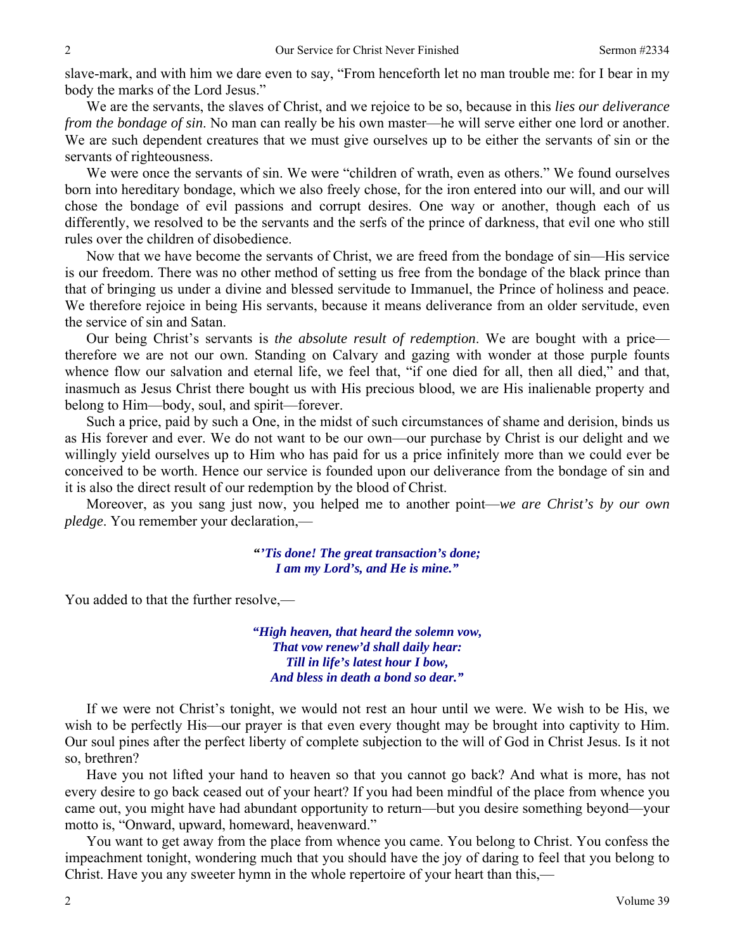slave-mark, and with him we dare even to say, "From henceforth let no man trouble me: for I bear in my body the marks of the Lord Jesus."

We are the servants, the slaves of Christ, and we rejoice to be so, because in this *lies our deliverance from the bondage of sin*. No man can really be his own master—he will serve either one lord or another. We are such dependent creatures that we must give ourselves up to be either the servants of sin or the servants of righteousness.

We were once the servants of sin. We were "children of wrath, even as others." We found ourselves born into hereditary bondage, which we also freely chose, for the iron entered into our will, and our will chose the bondage of evil passions and corrupt desires. One way or another, though each of us differently, we resolved to be the servants and the serfs of the prince of darkness, that evil one who still rules over the children of disobedience.

Now that we have become the servants of Christ, we are freed from the bondage of sin—His service is our freedom. There was no other method of setting us free from the bondage of the black prince than that of bringing us under a divine and blessed servitude to Immanuel, the Prince of holiness and peace. We therefore rejoice in being His servants, because it means deliverance from an older servitude, even the service of sin and Satan.

Our being Christ's servants is *the absolute result of redemption*. We are bought with a price therefore we are not our own. Standing on Calvary and gazing with wonder at those purple founts whence flow our salvation and eternal life, we feel that, "if one died for all, then all died," and that, inasmuch as Jesus Christ there bought us with His precious blood, we are His inalienable property and belong to Him—body, soul, and spirit—forever.

Such a price, paid by such a One, in the midst of such circumstances of shame and derision, binds us as His forever and ever. We do not want to be our own—our purchase by Christ is our delight and we willingly yield ourselves up to Him who has paid for us a price infinitely more than we could ever be conceived to be worth. Hence our service is founded upon our deliverance from the bondage of sin and it is also the direct result of our redemption by the blood of Christ.

Moreover, as you sang just now, you helped me to another point—*we are Christ's by our own pledge*. You remember your declaration,—

> **"***'Tis done! The great transaction's done; I am my Lord's, and He is mine."*

You added to that the further resolve,—

*"High heaven, that heard the solemn vow, That vow renew'd shall daily hear: Till in life's latest hour I bow, And bless in death a bond so dear."* 

If we were not Christ's tonight, we would not rest an hour until we were. We wish to be His, we wish to be perfectly His—our prayer is that even every thought may be brought into captivity to Him. Our soul pines after the perfect liberty of complete subjection to the will of God in Christ Jesus. Is it not so, brethren?

Have you not lifted your hand to heaven so that you cannot go back? And what is more, has not every desire to go back ceased out of your heart? If you had been mindful of the place from whence you came out, you might have had abundant opportunity to return—but you desire something beyond—your motto is, "Onward, upward, homeward, heavenward."

You want to get away from the place from whence you came. You belong to Christ. You confess the impeachment tonight, wondering much that you should have the joy of daring to feel that you belong to Christ. Have you any sweeter hymn in the whole repertoire of your heart than this,—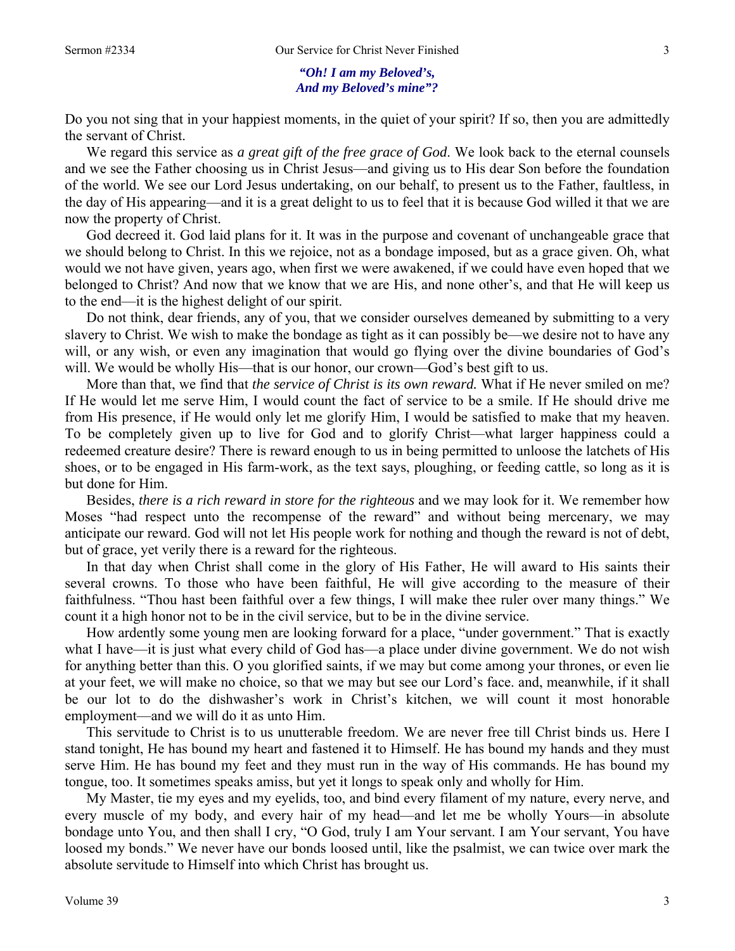#### *"Oh! I am my Beloved's, And my Beloved's mine"?*

Do you not sing that in your happiest moments, in the quiet of your spirit? If so, then you are admittedly the servant of Christ.

We regard this service as *a great gift of the free grace of God*. We look back to the eternal counsels and we see the Father choosing us in Christ Jesus—and giving us to His dear Son before the foundation of the world. We see our Lord Jesus undertaking, on our behalf, to present us to the Father, faultless, in the day of His appearing—and it is a great delight to us to feel that it is because God willed it that we are now the property of Christ.

God decreed it. God laid plans for it. It was in the purpose and covenant of unchangeable grace that we should belong to Christ. In this we rejoice, not as a bondage imposed, but as a grace given. Oh, what would we not have given, years ago, when first we were awakened, if we could have even hoped that we belonged to Christ? And now that we know that we are His, and none other's, and that He will keep us to the end—it is the highest delight of our spirit.

Do not think, dear friends, any of you, that we consider ourselves demeaned by submitting to a very slavery to Christ. We wish to make the bondage as tight as it can possibly be—we desire not to have any will, or any wish, or even any imagination that would go flying over the divine boundaries of God's will. We would be wholly His—that is our honor, our crown—God's best gift to us.

More than that, we find that *the service of Christ is its own reward.* What if He never smiled on me? If He would let me serve Him, I would count the fact of service to be a smile. If He should drive me from His presence, if He would only let me glorify Him, I would be satisfied to make that my heaven. To be completely given up to live for God and to glorify Christ—what larger happiness could a redeemed creature desire? There is reward enough to us in being permitted to unloose the latchets of His shoes, or to be engaged in His farm-work, as the text says, ploughing, or feeding cattle, so long as it is but done for Him.

Besides, *there is a rich reward in store for the righteous* and we may look for it. We remember how Moses "had respect unto the recompense of the reward" and without being mercenary, we may anticipate our reward. God will not let His people work for nothing and though the reward is not of debt, but of grace, yet verily there is a reward for the righteous.

In that day when Christ shall come in the glory of His Father, He will award to His saints their several crowns. To those who have been faithful, He will give according to the measure of their faithfulness. "Thou hast been faithful over a few things, I will make thee ruler over many things." We count it a high honor not to be in the civil service, but to be in the divine service.

How ardently some young men are looking forward for a place, "under government." That is exactly what I have—it is just what every child of God has—a place under divine government. We do not wish for anything better than this. O you glorified saints, if we may but come among your thrones, or even lie at your feet, we will make no choice, so that we may but see our Lord's face. and, meanwhile, if it shall be our lot to do the dishwasher's work in Christ's kitchen, we will count it most honorable employment—and we will do it as unto Him.

This servitude to Christ is to us unutterable freedom. We are never free till Christ binds us. Here I stand tonight, He has bound my heart and fastened it to Himself. He has bound my hands and they must serve Him. He has bound my feet and they must run in the way of His commands. He has bound my tongue, too. It sometimes speaks amiss, but yet it longs to speak only and wholly for Him.

My Master, tie my eyes and my eyelids, too, and bind every filament of my nature, every nerve, and every muscle of my body, and every hair of my head—and let me be wholly Yours—in absolute bondage unto You, and then shall I cry, "O God, truly I am Your servant. I am Your servant, You have loosed my bonds." We never have our bonds loosed until, like the psalmist, we can twice over mark the absolute servitude to Himself into which Christ has brought us.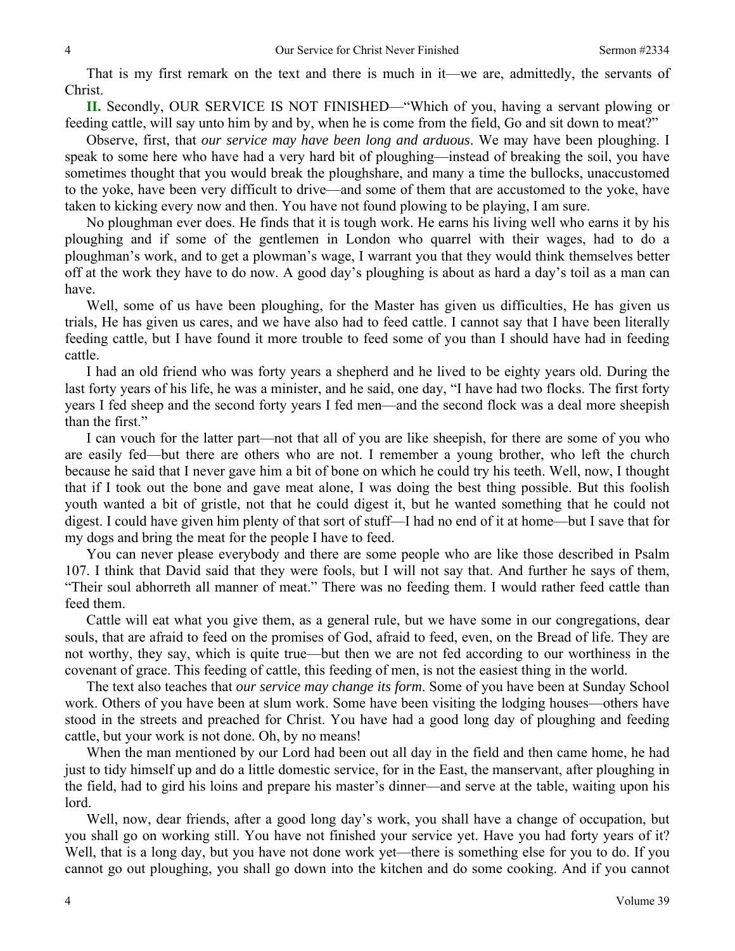That is my first remark on the text and there is much in it—we are, admittedly, the servants of Christ.

**II.** Secondly, OUR SERVICE IS NOT FINISHED—"Which of you, having a servant plowing or feeding cattle, will say unto him by and by, when he is come from the field, Go and sit down to meat?"

Observe, first, that *our service may have been long and arduous*. We may have been ploughing. I speak to some here who have had a very hard bit of ploughing—instead of breaking the soil, you have sometimes thought that you would break the ploughshare, and many a time the bullocks, unaccustomed to the yoke, have been very difficult to drive—and some of them that are accustomed to the yoke, have taken to kicking every now and then. You have not found plowing to be playing, I am sure.

No ploughman ever does. He finds that it is tough work. He earns his living well who earns it by his ploughing and if some of the gentlemen in London who quarrel with their wages, had to do a ploughman's work, and to get a plowman's wage, I warrant you that they would think themselves better off at the work they have to do now. A good day's ploughing is about as hard a day's toil as a man can have.

Well, some of us have been ploughing, for the Master has given us difficulties, He has given us trials, He has given us cares, and we have also had to feed cattle. I cannot say that I have been literally feeding cattle, but I have found it more trouble to feed some of you than I should have had in feeding cattle.

I had an old friend who was forty years a shepherd and he lived to be eighty years old. During the last forty years of his life, he was a minister, and he said, one day, "I have had two flocks. The first forty years I fed sheep and the second forty years I fed men—and the second flock was a deal more sheepish than the first."

I can vouch for the latter part—not that all of you are like sheepish, for there are some of you who are easily fed—but there are others who are not. I remember a young brother, who left the church because he said that I never gave him a bit of bone on which he could try his teeth. Well, now, I thought that if I took out the bone and gave meat alone, I was doing the best thing possible. But this foolish youth wanted a bit of gristle, not that he could digest it, but he wanted something that he could not digest. I could have given him plenty of that sort of stuff—I had no end of it at home—but I save that for my dogs and bring the meat for the people I have to feed.

You can never please everybody and there are some people who are like those described in Psalm 107. I think that David said that they were fools, but I will not say that. And further he says of them, "Their soul abhorreth all manner of meat." There was no feeding them. I would rather feed cattle than feed them.

Cattle will eat what you give them, as a general rule, but we have some in our congregations, dear souls, that are afraid to feed on the promises of God, afraid to feed, even, on the Bread of life. They are not worthy, they say, which is quite true—but then we are not fed according to our worthiness in the covenant of grace. This feeding of cattle, this feeding of men, is not the easiest thing in the world.

The text also teaches that *our service may change its form*. Some of you have been at Sunday School work. Others of you have been at slum work. Some have been visiting the lodging houses—others have stood in the streets and preached for Christ. You have had a good long day of ploughing and feeding cattle, but your work is not done. Oh, by no means!

When the man mentioned by our Lord had been out all day in the field and then came home, he had just to tidy himself up and do a little domestic service, for in the East, the manservant, after ploughing in the field, had to gird his loins and prepare his master's dinner—and serve at the table, waiting upon his lord.

Well, now, dear friends, after a good long day's work, you shall have a change of occupation, but you shall go on working still. You have not finished your service yet. Have you had forty years of it? Well, that is a long day, but you have not done work yet—there is something else for you to do. If you cannot go out ploughing, you shall go down into the kitchen and do some cooking. And if you cannot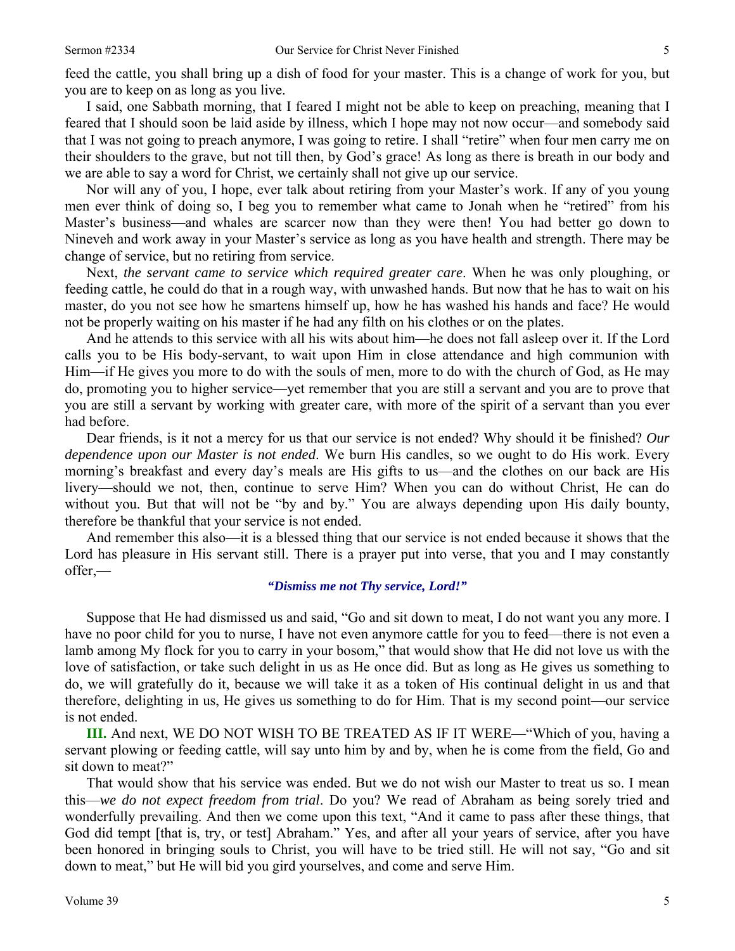feed the cattle, you shall bring up a dish of food for your master. This is a change of work for you, but you are to keep on as long as you live.

I said, one Sabbath morning, that I feared I might not be able to keep on preaching, meaning that I feared that I should soon be laid aside by illness, which I hope may not now occur—and somebody said that I was not going to preach anymore, I was going to retire. I shall "retire" when four men carry me on their shoulders to the grave, but not till then, by God's grace! As long as there is breath in our body and we are able to say a word for Christ, we certainly shall not give up our service.

Nor will any of you, I hope, ever talk about retiring from your Master's work. If any of you young men ever think of doing so, I beg you to remember what came to Jonah when he "retired" from his Master's business—and whales are scarcer now than they were then! You had better go down to Nineveh and work away in your Master's service as long as you have health and strength. There may be change of service, but no retiring from service.

Next, *the servant came to service which required greater care*. When he was only ploughing, or feeding cattle, he could do that in a rough way, with unwashed hands. But now that he has to wait on his master, do you not see how he smartens himself up, how he has washed his hands and face? He would not be properly waiting on his master if he had any filth on his clothes or on the plates.

And he attends to this service with all his wits about him—he does not fall asleep over it. If the Lord calls you to be His body-servant, to wait upon Him in close attendance and high communion with Him—if He gives you more to do with the souls of men, more to do with the church of God, as He may do, promoting you to higher service—yet remember that you are still a servant and you are to prove that you are still a servant by working with greater care, with more of the spirit of a servant than you ever had before.

Dear friends, is it not a mercy for us that our service is not ended? Why should it be finished? *Our dependence upon our Master is not ended*. We burn His candles, so we ought to do His work. Every morning's breakfast and every day's meals are His gifts to us—and the clothes on our back are His livery—should we not, then, continue to serve Him? When you can do without Christ, He can do without you. But that will not be "by and by." You are always depending upon His daily bounty, therefore be thankful that your service is not ended.

And remember this also—it is a blessed thing that our service is not ended because it shows that the Lord has pleasure in His servant still. There is a prayer put into verse, that you and I may constantly offer,—

#### *"Dismiss me not Thy service, Lord!"*

Suppose that He had dismissed us and said, "Go and sit down to meat, I do not want you any more. I have no poor child for you to nurse, I have not even anymore cattle for you to feed—there is not even a lamb among My flock for you to carry in your bosom," that would show that He did not love us with the love of satisfaction, or take such delight in us as He once did. But as long as He gives us something to do, we will gratefully do it, because we will take it as a token of His continual delight in us and that therefore, delighting in us, He gives us something to do for Him. That is my second point—our service is not ended.

**III.** And next, WE DO NOT WISH TO BE TREATED AS IF IT WERE—"Which of you, having a servant plowing or feeding cattle, will say unto him by and by, when he is come from the field, Go and sit down to meat?"

That would show that his service was ended. But we do not wish our Master to treat us so. I mean this—*we do not expect freedom from trial*. Do you? We read of Abraham as being sorely tried and wonderfully prevailing. And then we come upon this text, "And it came to pass after these things, that God did tempt [that is, try, or test] Abraham." Yes, and after all your years of service, after you have been honored in bringing souls to Christ, you will have to be tried still. He will not say, "Go and sit down to meat," but He will bid you gird yourselves, and come and serve Him.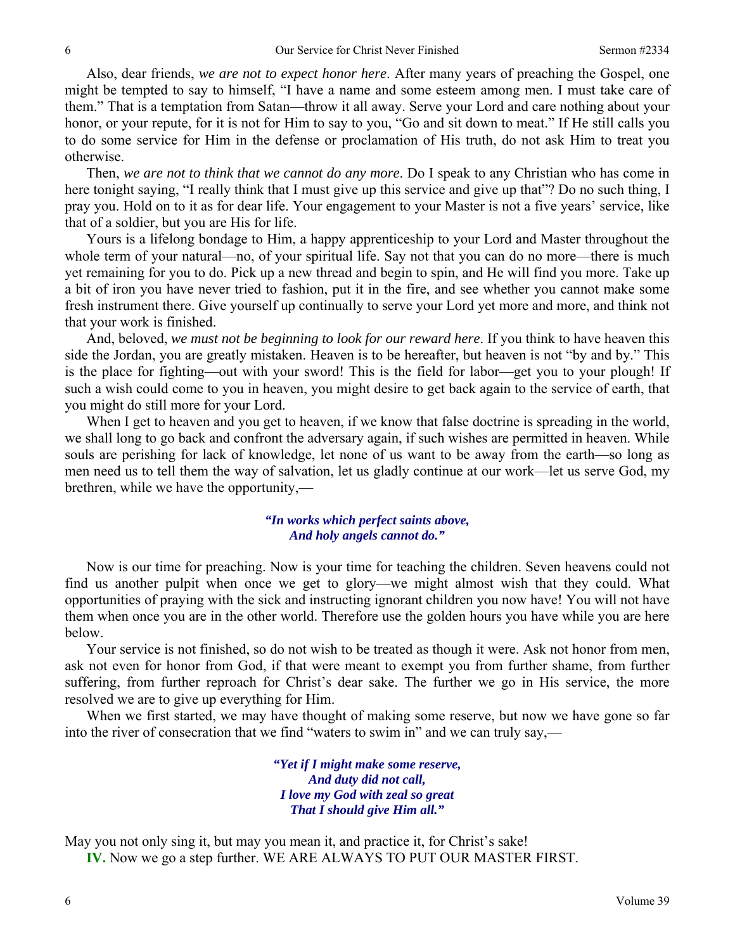Also, dear friends, *we are not to expect honor here*. After many years of preaching the Gospel, one might be tempted to say to himself, "I have a name and some esteem among men. I must take care of them." That is a temptation from Satan—throw it all away. Serve your Lord and care nothing about your honor, or your repute, for it is not for Him to say to you, "Go and sit down to meat." If He still calls you to do some service for Him in the defense or proclamation of His truth, do not ask Him to treat you otherwise.

Then, *we are not to think that we cannot do any more*. Do I speak to any Christian who has come in here tonight saying, "I really think that I must give up this service and give up that"? Do no such thing, I pray you. Hold on to it as for dear life. Your engagement to your Master is not a five years' service, like that of a soldier, but you are His for life.

Yours is a lifelong bondage to Him, a happy apprenticeship to your Lord and Master throughout the whole term of your natural—no, of your spiritual life. Say not that you can do no more—there is much yet remaining for you to do. Pick up a new thread and begin to spin, and He will find you more. Take up a bit of iron you have never tried to fashion, put it in the fire, and see whether you cannot make some fresh instrument there. Give yourself up continually to serve your Lord yet more and more, and think not that your work is finished.

And, beloved, *we must not be beginning to look for our reward here*. If you think to have heaven this side the Jordan, you are greatly mistaken. Heaven is to be hereafter, but heaven is not "by and by." This is the place for fighting—out with your sword! This is the field for labor—get you to your plough! If such a wish could come to you in heaven, you might desire to get back again to the service of earth, that you might do still more for your Lord.

When I get to heaven and you get to heaven, if we know that false doctrine is spreading in the world, we shall long to go back and confront the adversary again, if such wishes are permitted in heaven. While souls are perishing for lack of knowledge, let none of us want to be away from the earth—so long as men need us to tell them the way of salvation, let us gladly continue at our work—let us serve God, my brethren, while we have the opportunity,—

#### *"In works which perfect saints above, And holy angels cannot do."*

Now is our time for preaching. Now is your time for teaching the children. Seven heavens could not find us another pulpit when once we get to glory—we might almost wish that they could. What opportunities of praying with the sick and instructing ignorant children you now have! You will not have them when once you are in the other world. Therefore use the golden hours you have while you are here below.

Your service is not finished, so do not wish to be treated as though it were. Ask not honor from men, ask not even for honor from God, if that were meant to exempt you from further shame, from further suffering, from further reproach for Christ's dear sake. The further we go in His service, the more resolved we are to give up everything for Him.

When we first started, we may have thought of making some reserve, but now we have gone so far into the river of consecration that we find "waters to swim in" and we can truly say,—

> *"Yet if I might make some reserve, And duty did not call, I love my God with zeal so great That I should give Him all."*

May you not only sing it, but may you mean it, and practice it, for Christ's sake!

**IV.** Now we go a step further. WE ARE ALWAYS TO PUT OUR MASTER FIRST.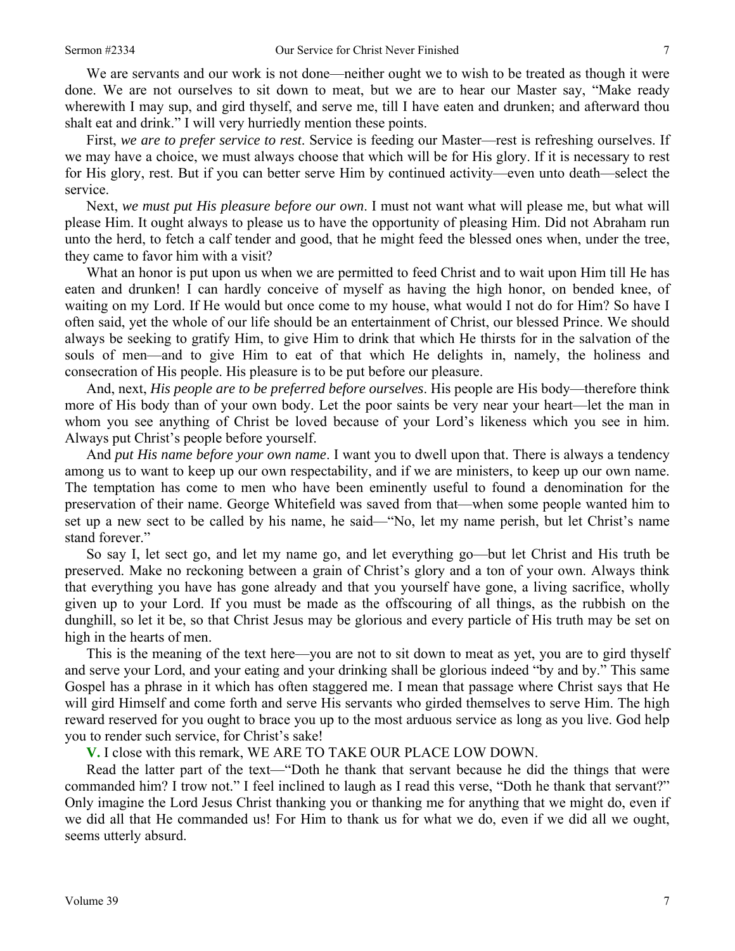We are servants and our work is not done—neither ought we to wish to be treated as though it were done. We are not ourselves to sit down to meat, but we are to hear our Master say, "Make ready wherewith I may sup, and gird thyself, and serve me, till I have eaten and drunken; and afterward thou shalt eat and drink." I will very hurriedly mention these points.

First, *we are to prefer service to rest*. Service is feeding our Master—rest is refreshing ourselves. If we may have a choice, we must always choose that which will be for His glory. If it is necessary to rest for His glory, rest. But if you can better serve Him by continued activity—even unto death—select the service.

Next, *we must put His pleasure before our own*. I must not want what will please me, but what will please Him. It ought always to please us to have the opportunity of pleasing Him. Did not Abraham run unto the herd, to fetch a calf tender and good, that he might feed the blessed ones when, under the tree, they came to favor him with a visit?

What an honor is put upon us when we are permitted to feed Christ and to wait upon Him till He has eaten and drunken! I can hardly conceive of myself as having the high honor, on bended knee, of waiting on my Lord. If He would but once come to my house, what would I not do for Him? So have I often said, yet the whole of our life should be an entertainment of Christ, our blessed Prince. We should always be seeking to gratify Him, to give Him to drink that which He thirsts for in the salvation of the souls of men—and to give Him to eat of that which He delights in, namely, the holiness and consecration of His people. His pleasure is to be put before our pleasure.

And, next, *His people are to be preferred before ourselves*. His people are His body—therefore think more of His body than of your own body. Let the poor saints be very near your heart—let the man in whom you see anything of Christ be loved because of your Lord's likeness which you see in him. Always put Christ's people before yourself.

And *put His name before your own name*. I want you to dwell upon that. There is always a tendency among us to want to keep up our own respectability, and if we are ministers, to keep up our own name. The temptation has come to men who have been eminently useful to found a denomination for the preservation of their name. George Whitefield was saved from that—when some people wanted him to set up a new sect to be called by his name, he said—"No, let my name perish, but let Christ's name stand forever."

So say I, let sect go, and let my name go, and let everything go—but let Christ and His truth be preserved. Make no reckoning between a grain of Christ's glory and a ton of your own. Always think that everything you have has gone already and that you yourself have gone, a living sacrifice, wholly given up to your Lord. If you must be made as the offscouring of all things, as the rubbish on the dunghill, so let it be, so that Christ Jesus may be glorious and every particle of His truth may be set on high in the hearts of men.

This is the meaning of the text here—you are not to sit down to meat as yet, you are to gird thyself and serve your Lord, and your eating and your drinking shall be glorious indeed "by and by." This same Gospel has a phrase in it which has often staggered me. I mean that passage where Christ says that He will gird Himself and come forth and serve His servants who girded themselves to serve Him. The high reward reserved for you ought to brace you up to the most arduous service as long as you live. God help you to render such service, for Christ's sake!

**V.** I close with this remark, WE ARE TO TAKE OUR PLACE LOW DOWN.

Read the latter part of the text—"Doth he thank that servant because he did the things that were commanded him? I trow not." I feel inclined to laugh as I read this verse, "Doth he thank that servant?" Only imagine the Lord Jesus Christ thanking you or thanking me for anything that we might do, even if we did all that He commanded us! For Him to thank us for what we do, even if we did all we ought, seems utterly absurd.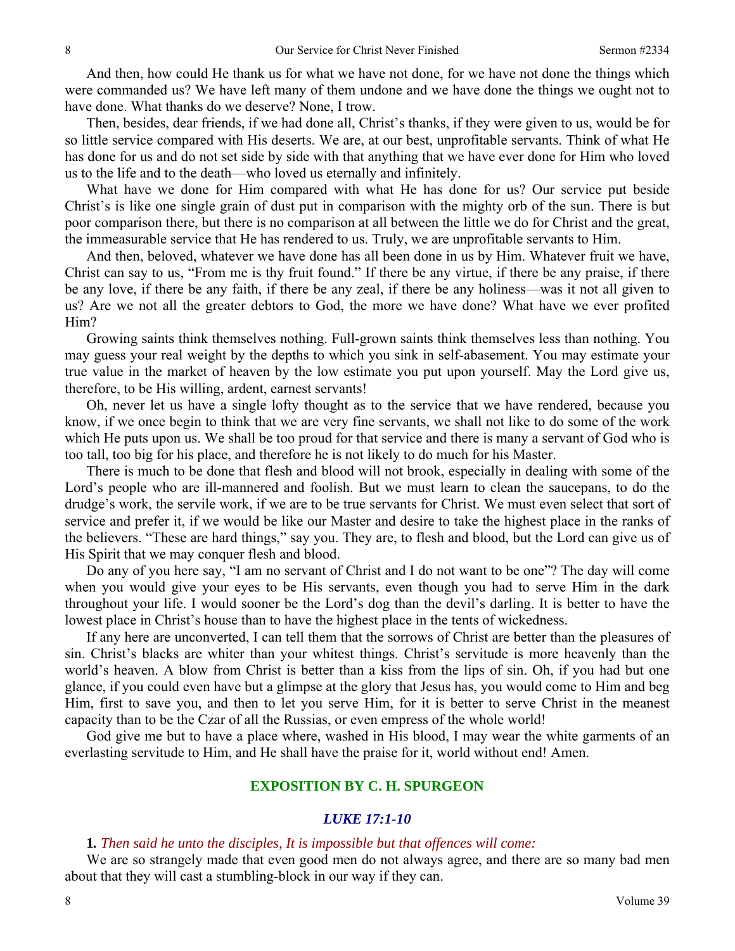And then, how could He thank us for what we have not done, for we have not done the things which were commanded us? We have left many of them undone and we have done the things we ought not to have done. What thanks do we deserve? None, I trow.

Then, besides, dear friends, if we had done all, Christ's thanks, if they were given to us, would be for so little service compared with His deserts. We are, at our best, unprofitable servants. Think of what He has done for us and do not set side by side with that anything that we have ever done for Him who loved us to the life and to the death—who loved us eternally and infinitely.

What have we done for Him compared with what He has done for us? Our service put beside Christ's is like one single grain of dust put in comparison with the mighty orb of the sun. There is but poor comparison there, but there is no comparison at all between the little we do for Christ and the great, the immeasurable service that He has rendered to us. Truly, we are unprofitable servants to Him.

And then, beloved, whatever we have done has all been done in us by Him. Whatever fruit we have, Christ can say to us, "From me is thy fruit found." If there be any virtue, if there be any praise, if there be any love, if there be any faith, if there be any zeal, if there be any holiness—was it not all given to us? Are we not all the greater debtors to God, the more we have done? What have we ever profited Him?

Growing saints think themselves nothing. Full-grown saints think themselves less than nothing. You may guess your real weight by the depths to which you sink in self-abasement. You may estimate your true value in the market of heaven by the low estimate you put upon yourself. May the Lord give us, therefore, to be His willing, ardent, earnest servants!

Oh, never let us have a single lofty thought as to the service that we have rendered, because you know, if we once begin to think that we are very fine servants, we shall not like to do some of the work which He puts upon us. We shall be too proud for that service and there is many a servant of God who is too tall, too big for his place, and therefore he is not likely to do much for his Master.

There is much to be done that flesh and blood will not brook, especially in dealing with some of the Lord's people who are ill-mannered and foolish. But we must learn to clean the saucepans, to do the drudge's work, the servile work, if we are to be true servants for Christ. We must even select that sort of service and prefer it, if we would be like our Master and desire to take the highest place in the ranks of the believers. "These are hard things," say you. They are, to flesh and blood, but the Lord can give us of His Spirit that we may conquer flesh and blood.

Do any of you here say, "I am no servant of Christ and I do not want to be one"? The day will come when you would give your eyes to be His servants, even though you had to serve Him in the dark throughout your life. I would sooner be the Lord's dog than the devil's darling. It is better to have the lowest place in Christ's house than to have the highest place in the tents of wickedness.

If any here are unconverted, I can tell them that the sorrows of Christ are better than the pleasures of sin. Christ's blacks are whiter than your whitest things. Christ's servitude is more heavenly than the world's heaven. A blow from Christ is better than a kiss from the lips of sin. Oh, if you had but one glance, if you could even have but a glimpse at the glory that Jesus has, you would come to Him and beg Him, first to save you, and then to let you serve Him, for it is better to serve Christ in the meanest capacity than to be the Czar of all the Russias, or even empress of the whole world!

God give me but to have a place where, washed in His blood, I may wear the white garments of an everlasting servitude to Him, and He shall have the praise for it, world without end! Amen.

# **EXPOSITION BY C. H. SPURGEON**

#### *LUKE 17:1-10*

## **1***. Then said he unto the disciples, It is impossible but that offences will come:*

We are so strangely made that even good men do not always agree, and there are so many bad men about that they will cast a stumbling-block in our way if they can.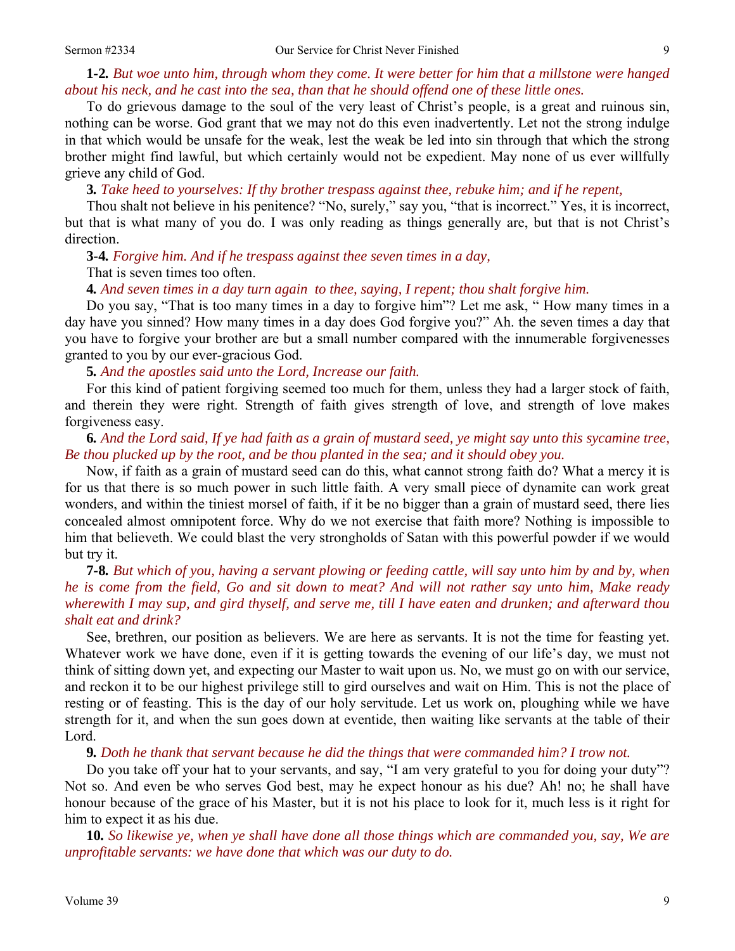# **1***-***2***. But woe unto him, through whom they come. It were better for him that a millstone were hanged about his neck, and he cast into the sea, than that he should offend one of these little ones.*

To do grievous damage to the soul of the very least of Christ's people, is a great and ruinous sin, nothing can be worse. God grant that we may not do this even inadvertently. Let not the strong indulge in that which would be unsafe for the weak, lest the weak be led into sin through that which the strong brother might find lawful, but which certainly would not be expedient. May none of us ever willfully grieve any child of God.

**3***. Take heed to yourselves: If thy brother trespass against thee, rebuke him; and if he repent,*

Thou shalt not believe in his penitence? "No, surely," say you, "that is incorrect." Yes, it is incorrect, but that is what many of you do. I was only reading as things generally are, but that is not Christ's direction.

**3***-***4***. Forgive him. And if he trespass against thee seven times in a day,* 

#### That is seven times too often.

**4***. And seven times in a day turn again to thee, saying, I repent; thou shalt forgive him.*

Do you say, "That is too many times in a day to forgive him"? Let me ask, " How many times in a day have you sinned? How many times in a day does God forgive you?" Ah. the seven times a day that you have to forgive your brother are but a small number compared with the innumerable forgivenesses granted to you by our ever-gracious God.

**5***. And the apostles said unto the Lord, Increase our faith.*

For this kind of patient forgiving seemed too much for them, unless they had a larger stock of faith, and therein they were right. Strength of faith gives strength of love, and strength of love makes forgiveness easy.

# **6***. And the Lord said, If ye had faith as a grain of mustard seed, ye might say unto this sycamine tree, Be thou plucked up by the root, and be thou planted in the sea; and it should obey you.*

Now, if faith as a grain of mustard seed can do this, what cannot strong faith do? What a mercy it is for us that there is so much power in such little faith. A very small piece of dynamite can work great wonders, and within the tiniest morsel of faith, if it be no bigger than a grain of mustard seed, there lies concealed almost omnipotent force. Why do we not exercise that faith more? Nothing is impossible to him that believeth. We could blast the very strongholds of Satan with this powerful powder if we would but try it.

**7***-***8***. But which of you, having a servant plowing or feeding cattle, will say unto him by and by, when he is come from the field, Go and sit down to meat? And will not rather say unto him, Make ready wherewith I may sup, and gird thyself, and serve me, till I have eaten and drunken; and afterward thou shalt eat and drink?*

See, brethren, our position as believers. We are here as servants. It is not the time for feasting yet. Whatever work we have done, even if it is getting towards the evening of our life's day, we must not think of sitting down yet, and expecting our Master to wait upon us. No, we must go on with our service, and reckon it to be our highest privilege still to gird ourselves and wait on Him. This is not the place of resting or of feasting. This is the day of our holy servitude. Let us work on, ploughing while we have strength for it, and when the sun goes down at eventide, then waiting like servants at the table of their Lord.

#### **9***. Doth he thank that servant because he did the things that were commanded him? I trow not.*

Do you take off your hat to your servants, and say, "I am very grateful to you for doing your duty"? Not so. And even be who serves God best, may he expect honour as his due? Ah! no; he shall have honour because of the grace of his Master, but it is not his place to look for it, much less is it right for him to expect it as his due.

**10***. So likewise ye, when ye shall have done all those things which are commanded you, say, We are unprofitable servants: we have done that which was our duty to do.*